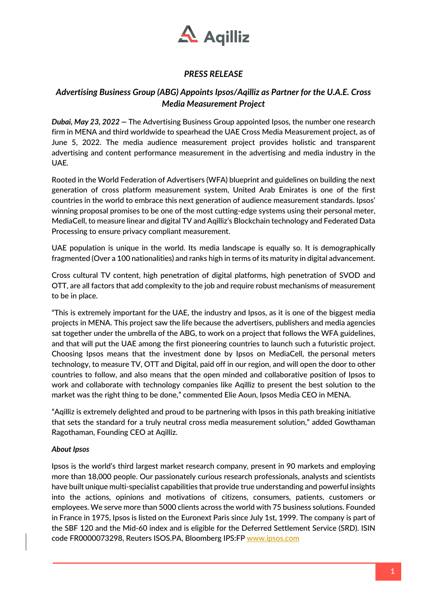

## *PRESS RELEASE*

## *Advertising Business Group (ABG) Appoints Ipsos/Aqilliz as Partner for the U.A.E. Cross Media Measurement Project*

*Dubai, May 23, 2022 —* The Advertising Business Group appointed Ipsos, the number one research firm in MENA and third worldwide to spearhead the UAE Cross Media Measurement project, as of June 5, 2022. The media audience measurement project provides holistic and transparent advertising and content performance measurement in the advertising and media industry in the UAE.

Rooted in the World Federation of Advertisers (WFA) blueprint and guidelines on building the next generation of cross platform measurement system, United Arab Emirates is one of the first countries in the world to embrace this next generation of audience measurement standards. Ipsos' winning proposal promises to be one of the most cutting-edge systems using their personal meter, MediaCell, to measure linear and digital TV and Aqilliz's Blockchain technology and Federated Data Processing to ensure privacy compliant measurement.

UAE population is unique in the world. Its media landscape is equally so. It is demographically fragmented (Over a 100 nationalities) and ranks high in terms of its maturity in digital advancement.

Cross cultural TV content, high penetration of digital platforms, high penetration of SVOD and OTT, are all factors that add complexity to the job and require robust mechanisms of measurement to be in place.

"This is extremely important for the UAE, the industry and Ipsos, as it is one of the biggest media projects in MENA. This project saw the life because the advertisers, publishers and media agencies sat together under the umbrella of the ABG, to work on a project that follows the WFA guidelines, and that will put the UAE among the first pioneering countries to launch such a futuristic project. Choosing Ipsos means that the investment done by Ipsos on MediaCell, the personal meters technology, to measure TV, OTT and Digital, paid off in our region, and will open the door to other countries to follow, and also means that the open minded and collaborative position of Ipsos to work and collaborate with technology companies like Aqilliz to present the best solution to the market was the right thing to be done," commented Elie Aoun, Ipsos Media CEO in MENA.

"Aqilliz is extremely delighted and proud to be partnering with Ipsos in this path breaking initiative that sets the standard for a truly neutral cross media measurement solution," added Gowthaman Ragothaman, Founding CEO at Aqilliz.

## *About Ipsos*

Ipsos is the world's third largest market research company, present in 90 markets and employing more than 18,000 people. Our passionately curious research professionals, analysts and scientists have built unique multi-specialist capabilities that provide true understanding and powerful insights into the actions, opinions and motivations of citizens, consumers, patients, customers or employees. We serve more than 5000 clients across the world with 75 business solutions. Founded in France in 1975, Ipsos is listed on the Euronext Paris since July 1st, 1999. The company is part of the SBF 120 and the Mid-60 index and is eligible for the Deferred Settlement Service (SRD). ISIN code FR0000073298, Reuters ISOS.PA, Bloomberg IPS:FP www.ipsos.com